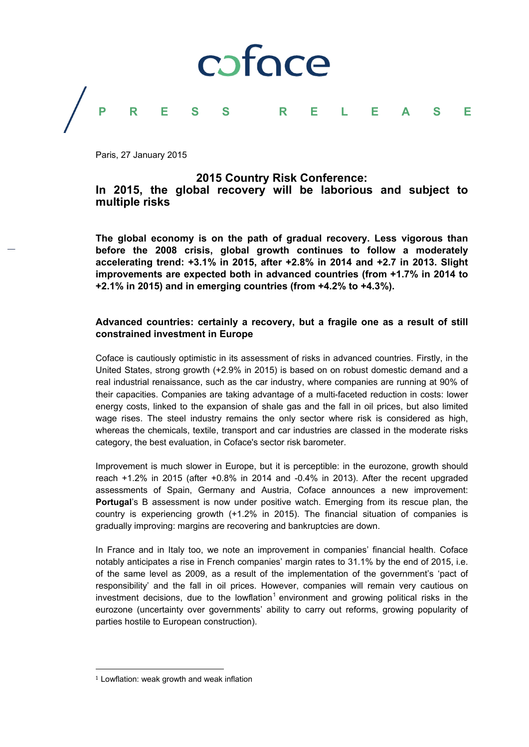

Paris, 27 January 2015

#### **2015 Country Risk Conference:**

### **In 2015, the global recovery will be laborious and subject to multiple risks**

**The global economy is on the path of gradual recovery. Less vigorous than before the 2008 crisis, global growth continues to follow a moderately accelerating trend: +3.1% in 2015, after +2.8% in 2014 and +2.7 in 2013. Slight improvements are expected both in advanced countries (from +1.7% in 2014 to +2.1% in 2015) and in emerging countries (from +4.2% to +4.3%).** 

#### **Advanced countries: certainly a recovery, but a fragile one as a result of still constrained investment in Europe**

Coface is cautiously optimistic in its assessment of risks in advanced countries. Firstly, in the United States, strong growth (+2.9% in 2015) is based on on robust domestic demand and a real industrial renaissance, such as the car industry, where companies are running at 90% of their capacities. Companies are taking advantage of a multi-faceted reduction in costs: lower energy costs, linked to the expansion of shale gas and the fall in oil prices, but also limited wage rises. The steel industry remains the only sector where risk is considered as high, whereas the chemicals, textile, transport and car industries are classed in the moderate risks category, the best evaluation, in Coface's sector risk barometer.

Improvement is much slower in Europe, but it is perceptible: in the eurozone, growth should reach +1.2% in 2015 (after +0.8% in 2014 and -0.4% in 2013). After the recent upgraded assessments of Spain, Germany and Austria, Coface announces a new improvement: **Portugal**'s B assessment is now under positive watch. Emerging from its rescue plan, the country is experiencing growth (+1.2% in 2015). The financial situation of companies is gradually improving: margins are recovering and bankruptcies are down.

In France and in Italy too, we note an improvement in companies' financial health. Coface notably anticipates a rise in French companies' margin rates to 31.1% by the end of 2015, i.e. of the same level as 2009, as a result of the implementation of the government's 'pact of responsibility' and the fall in oil prices. However, companies will remain very cautious on investment decisions, due to the lowflation<sup>1</sup> environment and growing political risks in the eurozone (uncertainty over governments' ability to carry out reforms, growing popularity of parties hostile to European construction).

 

 $1$  Lowflation: weak growth and weak inflation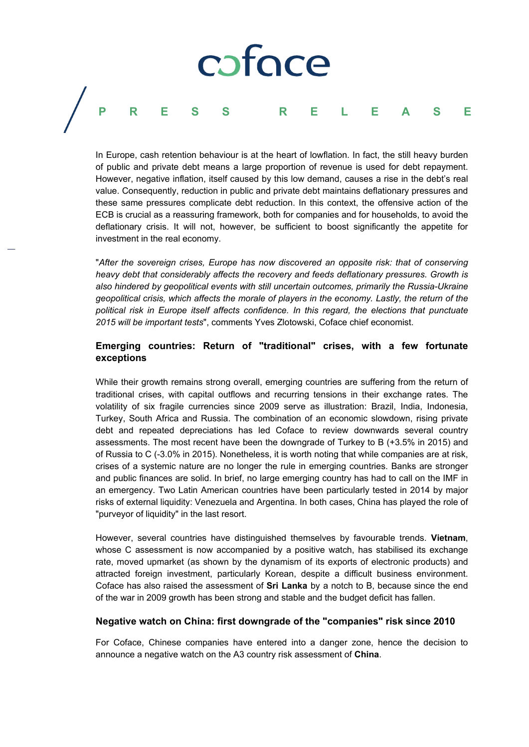# coface **PRESS RELEASE**

In Europe, cash retention behaviour is at the heart of lowflation. In fact, the still heavy burden of public and private debt means a large proportion of revenue is used for debt repayment. However, negative inflation, itself caused by this low demand, causes a rise in the debt's real value. Consequently, reduction in public and private debt maintains deflationary pressures and these same pressures complicate debt reduction. In this context, the offensive action of the ECB is crucial as a reassuring framework, both for companies and for households, to avoid the deflationary crisis. It will not, however, be sufficient to boost significantly the appetite for investment in the real economy.

"*After the sovereign crises, Europe has now discovered an opposite risk: that of conserving heavy debt that considerably affects the recovery and feeds deflationary pressures. Growth is also hindered by geopolitical events with still uncertain outcomes, primarily the Russia-Ukraine geopolitical crisis, which affects the morale of players in the economy. Lastly, the return of the political risk in Europe itself affects confidence. In this regard, the elections that punctuate 2015 will be important tests*", comments Yves Zlotowski, Coface chief economist.

### **Emerging countries: Return of "traditional" crises, with a few fortunate exceptions**

While their growth remains strong overall, emerging countries are suffering from the return of traditional crises, with capital outflows and recurring tensions in their exchange rates. The volatility of six fragile currencies since 2009 serve as illustration: Brazil, India, Indonesia, Turkey, South Africa and Russia. The combination of an economic slowdown, rising private debt and repeated depreciations has led Coface to review downwards several country assessments. The most recent have been the downgrade of Turkey to B (+3.5% in 2015) and of Russia to C (-3.0% in 2015). Nonetheless, it is worth noting that while companies are at risk, crises of a systemic nature are no longer the rule in emerging countries. Banks are stronger and public finances are solid. In brief, no large emerging country has had to call on the IMF in an emergency. Two Latin American countries have been particularly tested in 2014 by major risks of external liquidity: Venezuela and Argentina. In both cases, China has played the role of "purveyor of liquidity" in the last resort.

However, several countries have distinguished themselves by favourable trends. **Vietnam**, whose C assessment is now accompanied by a positive watch, has stabilised its exchange rate, moved upmarket (as shown by the dynamism of its exports of electronic products) and attracted foreign investment, particularly Korean, despite a difficult business environment. Coface has also raised the assessment of **Sri Lanka** by a notch to B, because since the end of the war in 2009 growth has been strong and stable and the budget deficit has fallen.

#### **Negative watch on China: first downgrade of the "companies" risk since 2010**

For Coface, Chinese companies have entered into a danger zone, hence the decision to announce a negative watch on the A3 country risk assessment of **China**.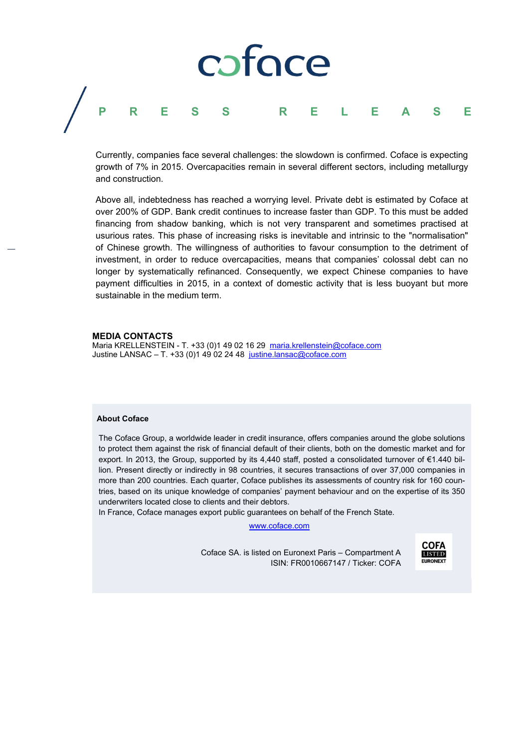# coface **PRESS RELEASE**

Currently, companies face several challenges: the slowdown is confirmed. Coface is expecting growth of 7% in 2015. Overcapacities remain in several different sectors, including metallurgy and construction.

Above all, indebtedness has reached a worrying level. Private debt is estimated by Coface at over 200% of GDP. Bank credit continues to increase faster than GDP. To this must be added financing from shadow banking, which is not very transparent and sometimes practised at usurious rates. This phase of increasing risks is inevitable and intrinsic to the "normalisation" of Chinese growth. The willingness of authorities to favour consumption to the detriment of investment, in order to reduce overcapacities, means that companies' colossal debt can no longer by systematically refinanced. Consequently, we expect Chinese companies to have payment difficulties in 2015, in a context of domestic activity that is less buoyant but more sustainable in the medium term.

#### **MEDIA CONTACTS**

Maria KRELLENSTEIN - T. +33 (0)1 49 02 16 29 maria.krellenstein@coface.com Justine LANSAC – T. +33 (0)1 49 02 24 48 justine.lansac@coface.com

#### **About Coface**

The Coface Group, a worldwide leader in credit insurance, offers companies around the globe solutions to protect them against the risk of financial default of their clients, both on the domestic market and for export. In 2013, the Group, supported by its 4,440 staff, posted a consolidated turnover of €1.440 billion. Present directly or indirectly in 98 countries, it secures transactions of over 37,000 companies in more than 200 countries. Each quarter, Coface publishes its assessments of country risk for 160 countries, based on its unique knowledge of companies' payment behaviour and on the expertise of its 350 underwriters located close to clients and their debtors.

In France, Coface manages export public guarantees on behalf of the French State.

www.coface.com

Coface SA. is listed on Euronext Paris – Compartment A ISIN: FR0010667147 / Ticker: COFA